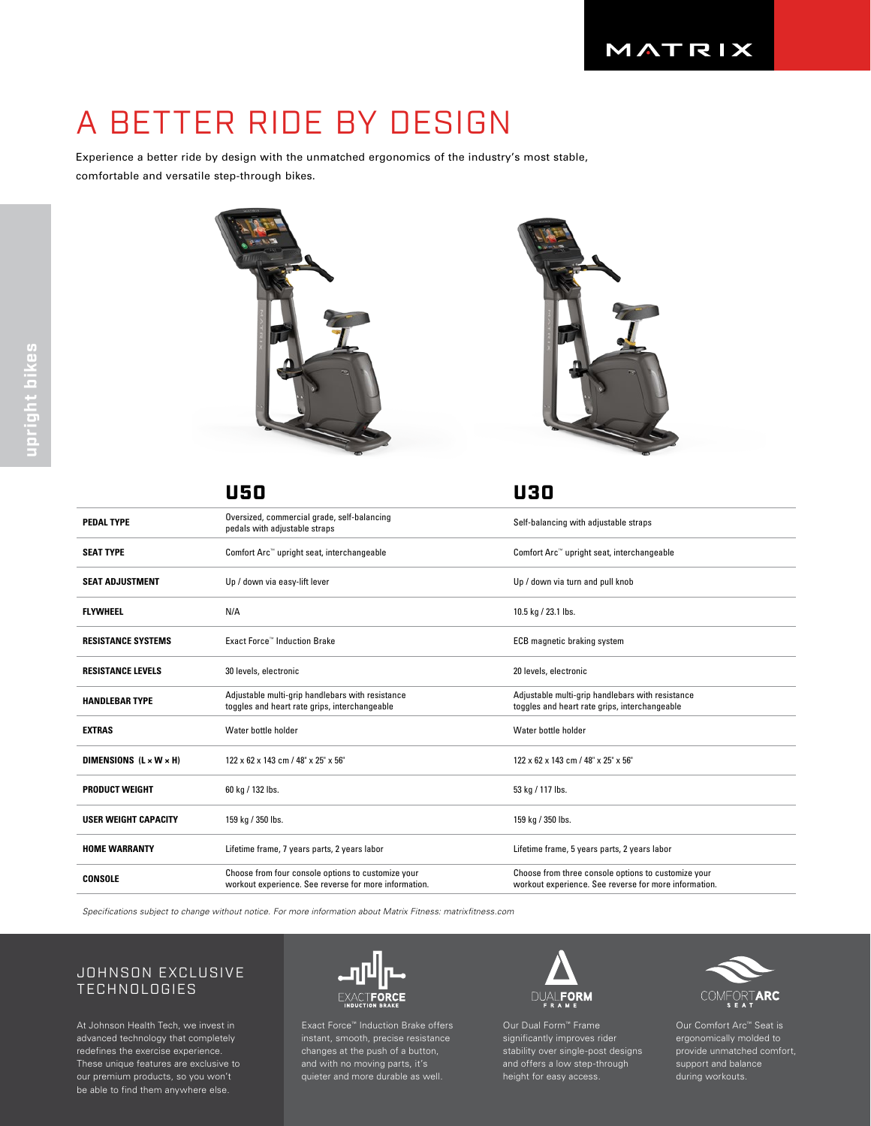# A BETTER RIDE BY DESIGN

Experience a better ride by design with the unmatched ergonomics of the industry's most stable, comfortable and versatile step-through bikes.







|                                    | U50                                                                                                         | U30                                                                                                          |
|------------------------------------|-------------------------------------------------------------------------------------------------------------|--------------------------------------------------------------------------------------------------------------|
| <b>PEDAL TYPE</b>                  | Oversized, commercial grade, self-balancing<br>pedals with adjustable straps                                | Self-balancing with adjustable straps                                                                        |
| <b>SEAT TYPE</b>                   | Comfort Arc™ upright seat, interchangeable                                                                  | Comfort Arc™ upright seat, interchangeable                                                                   |
| <b>SEAT ADJUSTMENT</b>             | Up / down via easy-lift lever                                                                               | Up / down via turn and pull knob                                                                             |
| <b>FLYWHEEL</b>                    | N/A                                                                                                         | 10.5 kg / 23.1 lbs.                                                                                          |
| <b>RESISTANCE SYSTEMS</b>          | <b>Exact Force™ Induction Brake</b>                                                                         | ECB magnetic braking system                                                                                  |
| <b>RESISTANCE LEVELS</b>           | 30 levels, electronic                                                                                       | 20 levels, electronic                                                                                        |
| <b>HANDLEBAR TYPE</b>              | Adjustable multi-grip handlebars with resistance<br>toggles and heart rate grips, interchangeable           | Adjustable multi-grip handlebars with resistance<br>toggles and heart rate grips, interchangeable            |
| <b>EXTRAS</b>                      | Water bottle holder                                                                                         | Water bottle holder                                                                                          |
| DIMENSIONS $(L \times W \times H)$ | 122 x 62 x 143 cm / 48" x 25" x 56"                                                                         | 122 x 62 x 143 cm / 48" x 25" x 56"                                                                          |
| <b>PRODUCT WEIGHT</b>              | 60 kg / 132 lbs.                                                                                            | 53 kg / 117 lbs.                                                                                             |
| <b>USER WEIGHT CAPACITY</b>        | 159 kg / 350 lbs.                                                                                           | 159 kg / 350 lbs.                                                                                            |
| <b>HOME WARRANTY</b>               | Lifetime frame, 7 years parts, 2 years labor                                                                | Lifetime frame, 5 years parts, 2 years labor                                                                 |
| <b>CONSOLE</b>                     | Choose from four console options to customize your<br>workout experience. See reverse for more information. | Choose from three console options to customize your<br>workout experience. See reverse for more information. |

*Specifications subject to change without notice. For more information about Matrix Fitness: matrixfitness.com*

## JOHNSON EXCLUSIVE TECHNOLOGIES

At Johnson Health Tech, we invest in advanced technology that completely redefines the exercise experience. These unique features are exclusive to our premium products, so you won't be able to find them anywhere else.



Exact Force™ Induction Brake offers changes at the push of a button, and with no moving parts, it's quieter and more durable as well.



Our Dual Form™ Frame significantly improves rider stability over single-post designs and offers a low step-through height for easy access.



Our Comfort Arc™ Seat is ergonomically molded to provide unmatched comfort, support and balance during workouts.